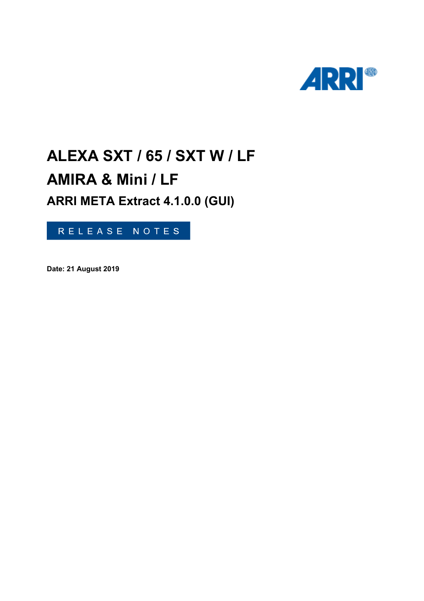

# **ALEXA SXT / 65 / SXT W / LF AMIRA & Mini / LF ARRI META Extract 4.1.0.0 (GUI)**

RELEASE NOTES

**Date: 21 August 2019**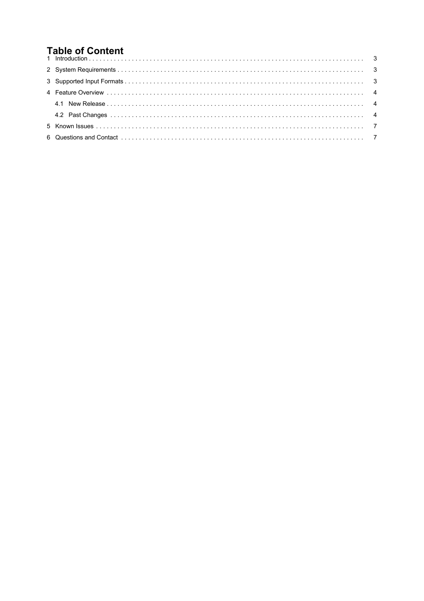## **Table of Content**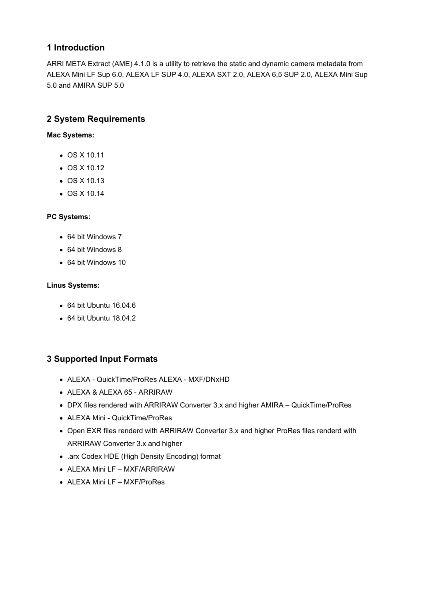#### <span id="page-2-0"></span>**1 Introduction**

ARRI META Extract (AME) 4.1.0 is a utility to retrieve the static and dynamic camera metadata from ALEXA Mini LF Sup 6.0, ALEXA LF SUP 4.0, ALEXA SXT 2.0, ALEXA 6,5 SUP 2.0, ALEXA Mini Sup 5.0 and AMIRA SUP 5.0

#### **2 System Requirements**

**Mac Systems:**

- OS X 10.11
- OS X 10.12
- OS X 10.13
- OS X 10.14

#### **PC Systems:**

- 64 bit Windows 7
- 64 bit Windows 8
- 64 bit Windows 10

#### **Linus Systems:**

- 64 bit Ubuntu 16.04.6
- 64 bit Ubuntu 18.04.2

## **3 Supported Input Formats**

- ALEXA QuickTime/ProRes ALEXA MXF/DNxHD
- ALEXA & ALEXA 65 ARRIRAW
- DPX files rendered with ARRIRAW Converter 3.x and higher AMIRA QuickTime/ProRes
- ALEXA Mini QuickTime/ProRes
- Open EXR files renderd with ARRIRAW Converter 3.x and higher ProRes files renderd with ARRIRAW Converter 3.x and higher
- .arx Codex HDE (High Density Encoding) format
- ALEXA Mini LF MXF/ARRIRAW
- ALEXA Mini LF MXF/ProRes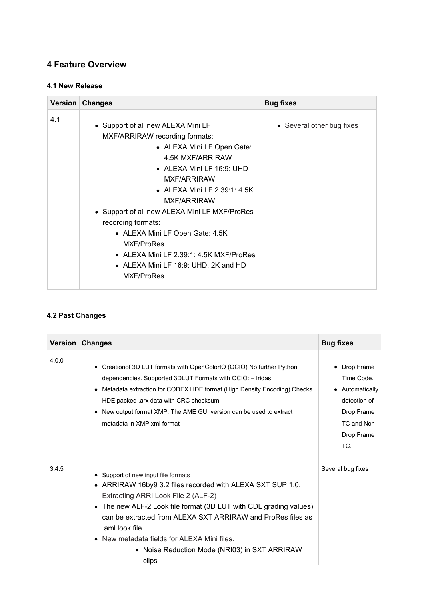## <span id="page-3-0"></span>**4 Feature Overview**

#### **4.1 New Release**

|     | Version Changes                                                                                                                                                                                                                                                                                                                                                                                                                                            | <b>Bug fixes</b>          |
|-----|------------------------------------------------------------------------------------------------------------------------------------------------------------------------------------------------------------------------------------------------------------------------------------------------------------------------------------------------------------------------------------------------------------------------------------------------------------|---------------------------|
| 4.1 | • Support of all new ALEXA Mini LF<br>MXF/ARRIRAW recording formats:<br>• ALEXA Mini LF Open Gate:<br>4.5K MXF/ARRIRAW<br>$\bullet$ ALEXA Mini LF 16:9: UHD<br>MXF/ARRIRAW<br>• ALEXA Mini LF 2.39:1: 4.5K<br>MXF/ARRIRAW<br>• Support of all new ALEXA Mini LF MXF/ProRes<br>recording formats:<br>• ALEXA Mini LF Open Gate: 4.5K<br>MXF/ProRes<br>$\bullet$ ALEXA Mini LF 2.39:1: 4.5K MXF/ProRes<br>• ALEXA Mini LF 16:9: UHD, 2K and HD<br>MXF/ProRes | • Several other bug fixes |

#### **4.2 Past Changes**

| <b>Version</b> | <b>Changes</b>                                                                                                                                                                                                                                                                                                                                                                                                   | <b>Bug fixes</b>                                                                                               |
|----------------|------------------------------------------------------------------------------------------------------------------------------------------------------------------------------------------------------------------------------------------------------------------------------------------------------------------------------------------------------------------------------------------------------------------|----------------------------------------------------------------------------------------------------------------|
| 4.0.0          | • Creation of 3D LUT formats with OpenColorIO (OCIO) No further Python<br>dependencies. Supported 3DLUT Formats with OCIO: - Iridas<br>• Metadata extraction for CODEX HDE format (High Density Encoding) Checks<br>HDE packed .arx data with CRC checksum.<br>• New output format XMP. The AME GUI version can be used to extract<br>metadata in XMP xml format                                                 | • Drop Frame<br>Time Code.<br>• Automatically<br>detection of<br>Drop Frame<br>TC and Non<br>Drop Frame<br>TC. |
| 3.4.5          | • Support of new input file formats<br>• ARRIRAW 16by9 3.2 files recorded with ALEXA SXT SUP 1.0.<br>Extracting ARRI Look File 2 (ALF-2)<br>• The new ALF-2 Look file format (3D LUT with CDL grading values)<br>can be extracted from ALEXA SXT ARRIRAW and ProRes files as<br>.aml look file.<br>$\bullet$ New metadata fields for ALEXA Mini files.<br>• Noise Reduction Mode (NRI03) in SXT ARRIRAW<br>clips | Several bug fixes                                                                                              |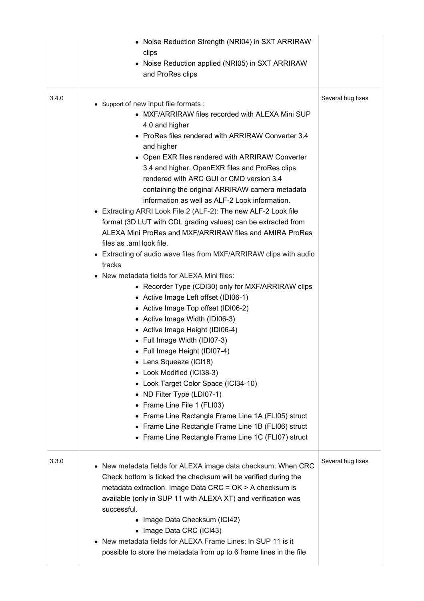|       | • Noise Reduction Strength (NRI04) in SXT ARRIRAW<br>clips<br>• Noise Reduction applied (NRI05) in SXT ARRIRAW<br>and ProRes clips                                                                                                                                                                                                                                                                                                                                                                                                                                                                                                                                                                                                                                                                                                                                                                                                                                                                                                                                                                                                                                                                                                                                                                                                                                                                           |                   |
|-------|--------------------------------------------------------------------------------------------------------------------------------------------------------------------------------------------------------------------------------------------------------------------------------------------------------------------------------------------------------------------------------------------------------------------------------------------------------------------------------------------------------------------------------------------------------------------------------------------------------------------------------------------------------------------------------------------------------------------------------------------------------------------------------------------------------------------------------------------------------------------------------------------------------------------------------------------------------------------------------------------------------------------------------------------------------------------------------------------------------------------------------------------------------------------------------------------------------------------------------------------------------------------------------------------------------------------------------------------------------------------------------------------------------------|-------------------|
| 3.4.0 | • Support of new input file formats :<br>• MXF/ARRIRAW files recorded with ALEXA Mini SUP<br>4.0 and higher<br>• ProRes files rendered with ARRIRAW Converter 3.4<br>and higher<br>• Open EXR files rendered with ARRIRAW Converter<br>3.4 and higher. OpenEXR files and ProRes clips<br>rendered with ARC GUI or CMD version 3.4<br>containing the original ARRIRAW camera metadata<br>information as well as ALF-2 Look information.<br>• Extracting ARRI Look File 2 (ALF-2): The new ALF-2 Look file<br>format (3D LUT with CDL grading values) can be extracted from<br>ALEXA Mini ProRes and MXF/ARRIRAW files and AMIRA ProRes<br>files as .aml look file.<br>• Extracting of audio wave files from MXF/ARRIRAW clips with audio<br>tracks<br>• New metadata fields for ALEXA Mini files:<br>• Recorder Type (CDI30) only for MXF/ARRIRAW clips<br>• Active Image Left offset (IDI06-1)<br>• Active Image Top offset (IDI06-2)<br>• Active Image Width (IDI06-3)<br>• Active Image Height (IDI06-4)<br>• Full Image Width (IDI07-3)<br>• Full Image Height (IDI07-4)<br>• Lens Squeeze (ICI18)<br>• Look Modified (ICI38-3)<br>• Look Target Color Space (ICI34-10)<br>• ND Filter Type (LDI07-1)<br>• Frame Line File 1 (FLI03)<br>• Frame Line Rectangle Frame Line 1A (FLI05) struct<br>• Frame Line Rectangle Frame Line 1B (FLI06) struct<br>• Frame Line Rectangle Frame Line 1C (FLI07) struct | Several bug fixes |
| 3.3.0 | • New metadata fields for ALEXA image data checksum: When CRC<br>Check bottom is ticked the checksum will be verified during the<br>metadata extraction. Image Data CRC = OK > A checksum is<br>available (only in SUP 11 with ALEXA XT) and verification was<br>successful.<br>• Image Data Checksum (ICI42)<br>• Image Data CRC (ICI43)<br>• New metadata fields for ALEXA Frame Lines: In SUP 11 is it<br>possible to store the metadata from up to 6 frame lines in the file                                                                                                                                                                                                                                                                                                                                                                                                                                                                                                                                                                                                                                                                                                                                                                                                                                                                                                                             | Several bug fixes |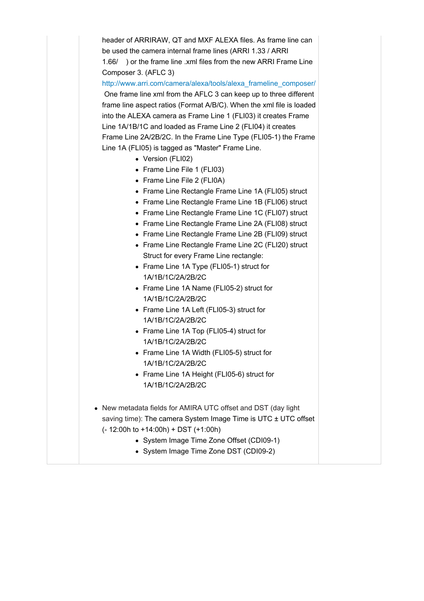header of ARRIRAW, QT and MXF ALEXA files. As frame line can be used the camera internal frame lines (ARRI 1.33 / ARRI 1.66/ ) or the frame line .xml files from the new ARRI Frame Line Composer 3. (AFLC 3)

[http://www.arri.com/camera/alexa/tools/alexa\\_frameline\\_composer/](http://www.arri.com/camera/alexa/tools/alexa_frameline_composer/) One frame line xml from the AFLC 3 can keep up to three different frame line aspect ratios (Format A/B/C). When the xml file is loaded into the ALEXA camera as Frame Line 1 (FLI03) it creates Frame Line 1A/1B/1C and loaded as Frame Line 2 (FLI04) it creates Frame Line 2A/2B/2C. In the Frame Line Type (FLI05-1) the Frame Line 1A (FLI05) is tagged as "Master" Frame Line.

- Version (FLI02)
- Frame Line File 1 (FLI03)
- Frame Line File 2 (FLI0A)
- Frame Line Rectangle Frame Line 1A (FLI05) struct
- Frame Line Rectangle Frame Line 1B (FLI06) struct
- Frame Line Rectangle Frame Line 1C (FLI07) struct
- Frame Line Rectangle Frame Line 2A (FLI08) struct
- Frame Line Rectangle Frame Line 2B (FLI09) struct
- Frame Line Rectangle Frame Line 2C (FLI20) struct Struct for every Frame Line rectangle:
- Frame Line 1A Type (FLI05-1) struct for 1A/1B/1C/2A/2B/2C
- Frame Line 1A Name (FLI05-2) struct for 1A/1B/1C/2A/2B/2C
- Frame Line 1A Left (FLI05-3) struct for 1A/1B/1C/2A/2B/2C
- Frame Line 1A Top (FLI05-4) struct for 1A/1B/1C/2A/2B/2C
- Frame Line 1A Width (FLI05-5) struct for 1A/1B/1C/2A/2B/2C
- Frame Line 1A Height (FLI05-6) struct for 1A/1B/1C/2A/2B/2C
- New metadata fields for AMIRA UTC offset and DST (day light saving time): The camera System Image Time is UTC ± UTC offset (- 12:00h to +14:00h) + DST (+1:00h)
	- System Image Time Zone Offset (CDI09-1)
	- System Image Time Zone DST (CDI09-2)